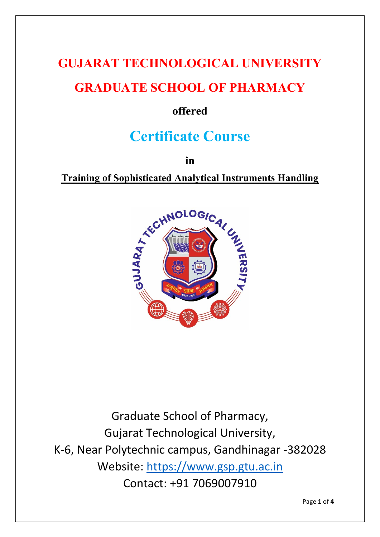# **GUJARAT TECHNOLOGICAL UNIVERSITY GRADUATE SCHOOL OF PHARMACY**

### **offered**

## **Certificate Course**

**in**

**Training of Sophisticated Analytical Instruments Handling**



Graduate School of Pharmacy, Gujarat Technological University, K-6, Near Polytechnic campus, Gandhinagar -382028 Website: [https://www.gsp.gtu.ac.in](https://www.gsp.gtu.ac.in/) Contact: +91 7069007910

Page **1** of **4**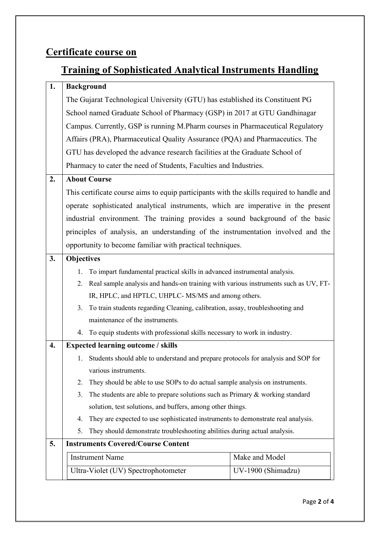### **Certificate course on**

### **Training of Sophisticated Analytical Instruments Handling**

| 1. | <b>Background</b>                                                                         |  |  |  |
|----|-------------------------------------------------------------------------------------------|--|--|--|
|    | The Gujarat Technological University (GTU) has established its Constituent PG             |  |  |  |
|    | School named Graduate School of Pharmacy (GSP) in 2017 at GTU Gandhinagar                 |  |  |  |
|    | Campus. Currently, GSP is running M.Pharm courses in Pharmaceutical Regulatory            |  |  |  |
|    | Affairs (PRA), Pharmaceutical Quality Assurance (PQA) and Pharmaceutics. The              |  |  |  |
|    | GTU has developed the advance research facilities at the Graduate School of               |  |  |  |
|    | Pharmacy to cater the need of Students, Faculties and Industries.                         |  |  |  |
| 2. | <b>About Course</b>                                                                       |  |  |  |
|    | This certificate course aims to equip participants with the skills required to handle and |  |  |  |
|    | operate sophisticated analytical instruments, which are imperative in the present         |  |  |  |
|    | industrial environment. The training provides a sound background of the basic             |  |  |  |
|    | principles of analysis, an understanding of the instrumentation involved and the          |  |  |  |
|    | opportunity to become familiar with practical techniques.                                 |  |  |  |
| 3. | <b>Objectives</b>                                                                         |  |  |  |
|    | To impart fundamental practical skills in advanced instrumental analysis.<br>1.           |  |  |  |
|    | Real sample analysis and hands-on training with various instruments such as UV, FT-<br>2. |  |  |  |
|    | IR, HPLC, and HPTLC, UHPLC- MS/MS and among others.                                       |  |  |  |
|    | 3. To train students regarding Cleaning, calibration, assay, troubleshooting and          |  |  |  |
|    | maintenance of the instruments.                                                           |  |  |  |
|    | 4. To equip students with professional skills necessary to work in industry.              |  |  |  |
| 4. | <b>Expected learning outcome / skills</b>                                                 |  |  |  |
|    | Students should able to understand and prepare protocols for analysis and SOP for<br>1.   |  |  |  |
|    | various instruments.                                                                      |  |  |  |
|    | They should be able to use SOPs to do actual sample analysis on instruments.<br>2.        |  |  |  |
|    | The students are able to prepare solutions such as Primary $&$ working standard<br>3.     |  |  |  |
|    | solution, test solutions, and buffers, among other things.                                |  |  |  |
|    | They are expected to use sophisticated instruments to demonstrate real analysis.<br>4.    |  |  |  |
|    | 5.<br>They should demonstrate troubleshooting abilities during actual analysis.           |  |  |  |
| 5. | <b>Instruments Covered/Course Content</b>                                                 |  |  |  |
|    | Make and Model<br><b>Instrument Name</b>                                                  |  |  |  |
|    | Ultra-Violet (UV) Spectrophotometer<br>UV-1900 (Shimadzu)                                 |  |  |  |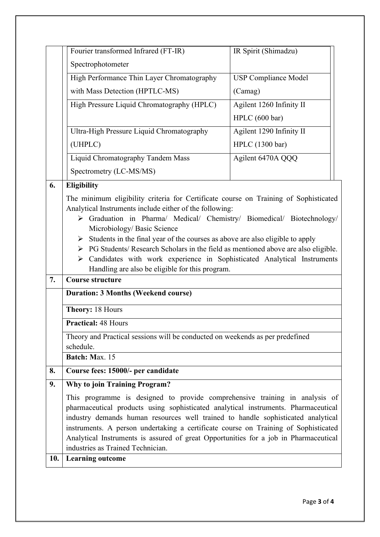|    | Fourier transformed Infrared (FT-IR)                                                                                                                                                                                                                                                                                                                                                                                              | IR Spirit (Shimadzu)        |  |
|----|-----------------------------------------------------------------------------------------------------------------------------------------------------------------------------------------------------------------------------------------------------------------------------------------------------------------------------------------------------------------------------------------------------------------------------------|-----------------------------|--|
|    | Spectrophotometer                                                                                                                                                                                                                                                                                                                                                                                                                 |                             |  |
|    | High Performance Thin Layer Chromatography                                                                                                                                                                                                                                                                                                                                                                                        | <b>USP Compliance Model</b> |  |
|    | with Mass Detection (HPTLC-MS)                                                                                                                                                                                                                                                                                                                                                                                                    | (Camag)                     |  |
|    | High Pressure Liquid Chromatography (HPLC)                                                                                                                                                                                                                                                                                                                                                                                        | Agilent 1260 Infinity II    |  |
|    |                                                                                                                                                                                                                                                                                                                                                                                                                                   | HPLC (600 bar)              |  |
|    | Ultra-High Pressure Liquid Chromatography                                                                                                                                                                                                                                                                                                                                                                                         | Agilent 1290 Infinity II    |  |
|    | (UHPLC)                                                                                                                                                                                                                                                                                                                                                                                                                           | HPLC (1300 bar)             |  |
|    | Liquid Chromatography Tandem Mass                                                                                                                                                                                                                                                                                                                                                                                                 | Agilent 6470A QQQ           |  |
|    | Spectrometry (LC-MS/MS)                                                                                                                                                                                                                                                                                                                                                                                                           |                             |  |
| 6. | <b>Eligibility</b>                                                                                                                                                                                                                                                                                                                                                                                                                |                             |  |
|    | > Graduation in Pharma/ Medical/ Chemistry/ Biomedical/ Biotechnology/<br>Microbiology/ Basic Science<br>$\triangleright$ Students in the final year of the courses as above are also eligible to apply<br>> PG Students/ Research Scholars in the field as mentioned above are also eligible.<br>Candidates with work experience in Sophisticated Analytical Instruments<br>➤<br>Handling are also be eligible for this program. |                             |  |
| 7. | <b>Course structure</b>                                                                                                                                                                                                                                                                                                                                                                                                           |                             |  |
|    | <b>Duration: 3 Months (Weekend course)</b>                                                                                                                                                                                                                                                                                                                                                                                        |                             |  |
|    | Theory: 18 Hours                                                                                                                                                                                                                                                                                                                                                                                                                  |                             |  |
|    | <b>Practical: 48 Hours</b>                                                                                                                                                                                                                                                                                                                                                                                                        |                             |  |
|    | Theory and Practical sessions will be conducted on weekends as per predefined<br>schedule.                                                                                                                                                                                                                                                                                                                                        |                             |  |
|    | Batch: Max. 15                                                                                                                                                                                                                                                                                                                                                                                                                    |                             |  |
| 8. | Course fees: 15000/- per candidate                                                                                                                                                                                                                                                                                                                                                                                                |                             |  |
| 9. | <b>Why to join Training Program?</b>                                                                                                                                                                                                                                                                                                                                                                                              |                             |  |
|    | This programme is designed to provide comprehensive training in analysis of<br>pharmaceutical products using sophisticated analytical instruments. Pharmaceutical<br>industry demands human resources well trained to handle sophisticated analytical                                                                                                                                                                             |                             |  |
|    | instruments. A person undertaking a certificate course on Training of Sophisticated<br>Analytical Instruments is assured of great Opportunities for a job in Pharmaceutical<br>industries as Trained Technician.                                                                                                                                                                                                                  |                             |  |